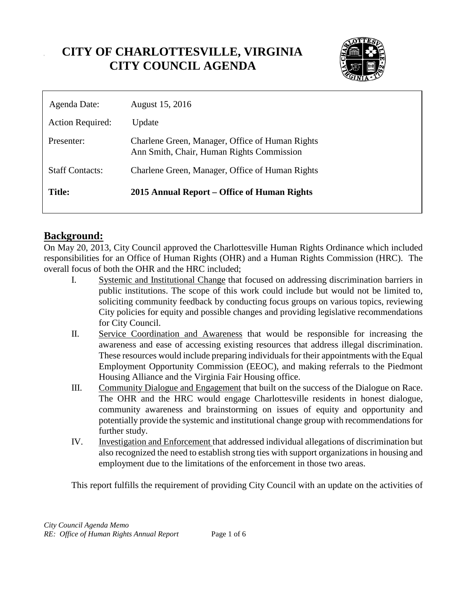# **CITY OF CHARLOTTESVILLE, VIRGINIA CITY COUNCIL AGENDA**



| Agenda Date:            | August 15, 2016                                                                              |
|-------------------------|----------------------------------------------------------------------------------------------|
| <b>Action Required:</b> | Update                                                                                       |
| Presenter:              | Charlene Green, Manager, Office of Human Rights<br>Ann Smith, Chair, Human Rights Commission |
| <b>Staff Contacts:</b>  | Charlene Green, Manager, Office of Human Rights                                              |
| Title:                  | 2015 Annual Report – Office of Human Rights                                                  |

## **Background:**

On May 20, 2013, City Council approved the Charlottesville Human Rights Ordinance which included responsibilities for an Office of Human Rights (OHR) and a Human Rights Commission (HRC). The overall focus of both the OHR and the HRC included;

- I. Systemic and Institutional Change that focused on addressing discrimination barriers in public institutions. The scope of this work could include but would not be limited to, soliciting community feedback by conducting focus groups on various topics, reviewing City policies for equity and possible changes and providing legislative recommendations for City Council.
- II. Service Coordination and Awareness that would be responsible for increasing the awareness and ease of accessing existing resources that address illegal discrimination. These resources would include preparing individuals for their appointments with the Equal Employment Opportunity Commission (EEOC), and making referrals to the Piedmont Housing Alliance and the Virginia Fair Housing office.
- III. Community Dialogue and Engagement that built on the success of the Dialogue on Race. The OHR and the HRC would engage Charlottesville residents in honest dialogue, community awareness and brainstorming on issues of equity and opportunity and potentially provide the systemic and institutional change group with recommendations for further study.
- IV. Investigation and Enforcement that addressed individual allegations of discrimination but also recognized the need to establish strong ties with support organizations in housing and employment due to the limitations of the enforcement in those two areas.

This report fulfills the requirement of providing City Council with an update on the activities of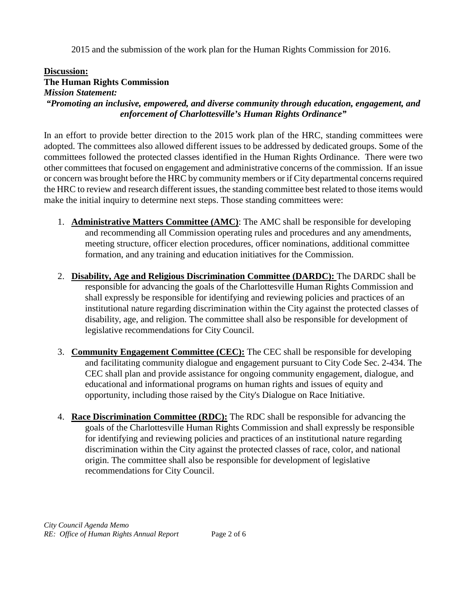2015 and the submission of the work plan for the Human Rights Commission for 2016.

### **Discussion:**

### **The Human Rights Commission**

*Mission Statement:*

*"Promoting an inclusive, empowered, and diverse community through education, engagement, and enforcement of Charlottesville's Human Rights Ordinance"*

In an effort to provide better direction to the 2015 work plan of the HRC, standing committees were adopted. The committees also allowed different issues to be addressed by dedicated groups. Some of the committees followed the protected classes identified in the Human Rights Ordinance. There were two other committees that focused on engagement and administrative concerns of the commission. If an issue or concern was brought before the HRC by community members or if City departmental concerns required the HRC to review and research different issues, the standing committee best related to those items would make the initial inquiry to determine next steps. Those standing committees were:

- 1. **Administrative Matters Committee (AMC)**: The AMC shall be responsible for developing and recommending all Commission operating rules and procedures and any amendments, meeting structure, officer election procedures, officer nominations, additional committee formation, and any training and education initiatives for the Commission.
- 2. **Disability, Age and Religious Discrimination Committee (DARDC):** The DARDC shall be responsible for advancing the goals of the Charlottesville Human Rights Commission and shall expressly be responsible for identifying and reviewing policies and practices of an institutional nature regarding discrimination within the City against the protected classes of disability, age, and religion. The committee shall also be responsible for development of legislative recommendations for City Council.
- 3. **Community Engagement Committee (CEC):** The CEC shall be responsible for developing and facilitating community dialogue and engagement pursuant to City Code Sec. 2-434. The CEC shall plan and provide assistance for ongoing community engagement, dialogue, and educational and informational programs on human rights and issues of equity and opportunity, including those raised by the City's Dialogue on Race Initiative.
- 4. **Race Discrimination Committee (RDC):** The RDC shall be responsible for advancing the goals of the Charlottesville Human Rights Commission and shall expressly be responsible for identifying and reviewing policies and practices of an institutional nature regarding discrimination within the City against the protected classes of race, color, and national origin. The committee shall also be responsible for development of legislative recommendations for City Council.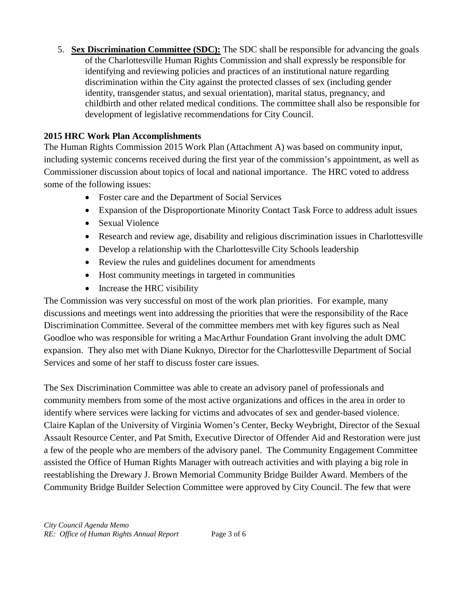5. **Sex Discrimination Committee (SDC):** The SDC shall be responsible for advancing the goals of the Charlottesville Human Rights Commission and shall expressly be responsible for identifying and reviewing policies and practices of an institutional nature regarding discrimination within the City against the protected classes of sex (including gender identity, transgender status, and sexual orientation), marital status, pregnancy, and childbirth and other related medical conditions. The committee shall also be responsible for development of legislative recommendations for City Council.

### **2015 HRC Work Plan Accomplishments**

The Human Rights Commission 2015 Work Plan (Attachment A) was based on community input, including systemic concerns received during the first year of the commission's appointment, as well as Commissioner discussion about topics of local and national importance. The HRC voted to address some of the following issues:

- Foster care and the Department of Social Services
- Expansion of the Disproportionate Minority Contact Task Force to address adult issues
- Sexual Violence
- Research and review age, disability and religious discrimination issues in Charlottesville
- Develop a relationship with the Charlottesville City Schools leadership
- Review the rules and guidelines document for amendments
- Host community meetings in targeted in communities
- Increase the HRC visibility

The Commission was very successful on most of the work plan priorities. For example, many discussions and meetings went into addressing the priorities that were the responsibility of the Race Discrimination Committee. Several of the committee members met with key figures such as Neal Goodloe who was responsible for writing a MacArthur Foundation Grant involving the adult DMC expansion. They also met with Diane Kuknyo, Director for the Charlottesville Department of Social Services and some of her staff to discuss foster care issues.

The Sex Discrimination Committee was able to create an advisory panel of professionals and community members from some of the most active organizations and offices in the area in order to identify where services were lacking for victims and advocates of sex and gender-based violence. Claire Kaplan of the University of Virginia Women's Center, Becky Weybright, Director of the Sexual Assault Resource Center, and Pat Smith, Executive Director of Offender Aid and Restoration were just a few of the people who are members of the advisory panel. The Community Engagement Committee assisted the Office of Human Rights Manager with outreach activities and with playing a big role in reestablishing the Drewary J. Brown Memorial Community Bridge Builder Award. Members of the Community Bridge Builder Selection Committee were approved by City Council. The few that were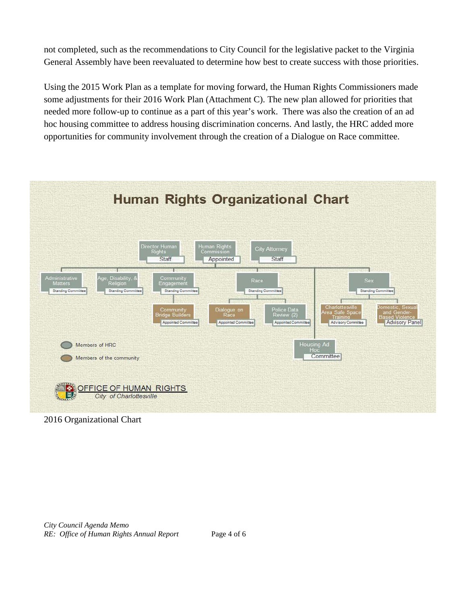not completed, such as the recommendations to City Council for the legislative packet to the Virginia General Assembly have been reevaluated to determine how best to create success with those priorities.

Using the 2015 Work Plan as a template for moving forward, the Human Rights Commissioners made some adjustments for their 2016 Work Plan (Attachment C). The new plan allowed for priorities that needed more follow-up to continue as a part of this year's work. There was also the creation of an ad hoc housing committee to address housing discrimination concerns. And lastly, the HRC added more opportunities for community involvement through the creation of a Dialogue on Race committee.



2016 Organizational Chart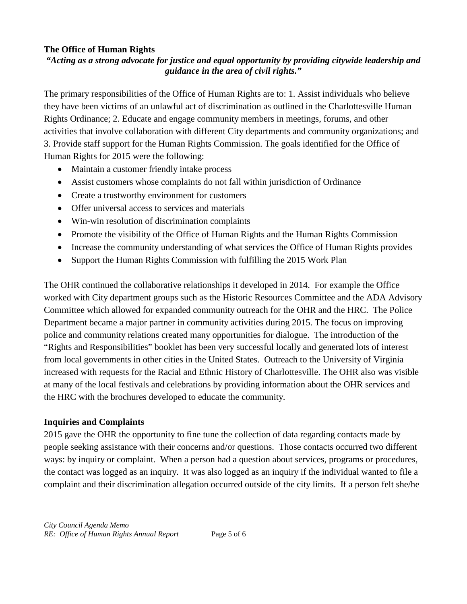#### **The Office of Human Rights**

#### *"Acting as a strong advocate for justice and equal opportunity by providing citywide leadership and guidance in the area of civil rights."*

The primary responsibilities of the Office of Human Rights are to: 1. Assist individuals who believe they have been victims of an unlawful act of discrimination as outlined in the Charlottesville Human Rights Ordinance; 2. Educate and engage community members in meetings, forums, and other activities that involve collaboration with different City departments and community organizations; and 3. Provide staff support for the Human Rights Commission. The goals identified for the Office of Human Rights for 2015 were the following:

- Maintain a customer friendly intake process
- Assist customers whose complaints do not fall within jurisdiction of Ordinance
- Create a trustworthy environment for customers
- Offer universal access to services and materials
- Win-win resolution of discrimination complaints
- Promote the visibility of the Office of Human Rights and the Human Rights Commission
- Increase the community understanding of what services the Office of Human Rights provides
- Support the Human Rights Commission with fulfilling the 2015 Work Plan

The OHR continued the collaborative relationships it developed in 2014. For example the Office worked with City department groups such as the Historic Resources Committee and the ADA Advisory Committee which allowed for expanded community outreach for the OHR and the HRC. The Police Department became a major partner in community activities during 2015. The focus on improving police and community relations created many opportunities for dialogue. The introduction of the "Rights and Responsibilities" booklet has been very successful locally and generated lots of interest

from local governments in other cities in the United States. Outreach to the University of Virginia increased with requests for the Racial and Ethnic History of Charlottesville. The OHR also was visible at many of the local festivals and celebrations by providing information about the OHR services and the HRC with the brochures developed to educate the community.

#### **Inquiries and Complaints**

2015 gave the OHR the opportunity to fine tune the collection of data regarding contacts made by people seeking assistance with their concerns and/or questions. Those contacts occurred two different ways: by inquiry or complaint. When a person had a question about services, programs or procedures, the contact was logged as an inquiry. It was also logged as an inquiry if the individual wanted to file a complaint and their discrimination allegation occurred outside of the city limits. If a person felt she/he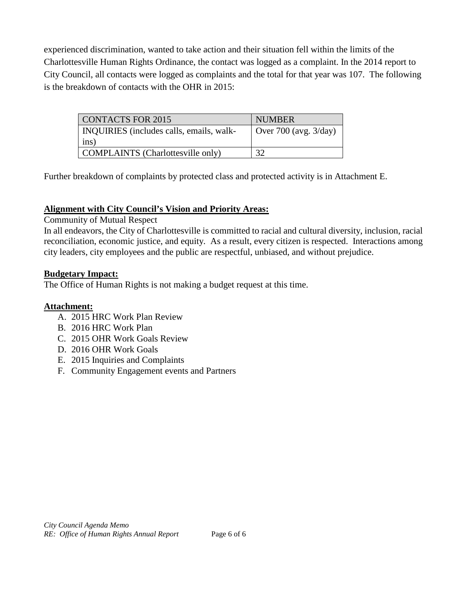experienced discrimination, wanted to take action and their situation fell within the limits of the Charlottesville Human Rights Ordinance, the contact was logged as a complaint. In the 2014 report to City Council, all contacts were logged as complaints and the total for that year was 107. The following is the breakdown of contacts with the OHR in 2015:

| CONTACTS FOR 2015                        | <b>NUMBER</b>            |
|------------------------------------------|--------------------------|
| INQUIRIES (includes calls, emails, walk- | Over 700 (avg. $3$ /day) |
| ins)                                     |                          |
| COMPLAINTS (Charlottesville only)        | 32                       |

Further breakdown of complaints by protected class and protected activity is in Attachment E.

#### **Alignment with City Council's Vision and Priority Areas:**

Community of Mutual Respect

In all endeavors, the City of Charlottesville is committed to racial and cultural diversity, inclusion, racial reconciliation, economic justice, and equity. As a result, every citizen is respected. Interactions among city leaders, city employees and the public are respectful, unbiased, and without prejudice.

#### **Budgetary Impact:**

The Office of Human Rights is not making a budget request at this time.

#### **Attachment:**

- A. 2015 HRC Work Plan Review
- B. 2016 HRC Work Plan
- C. 2015 OHR Work Goals Review
- D. 2016 OHR Work Goals
- E. 2015 Inquiries and Complaints
- F. Community Engagement events and Partners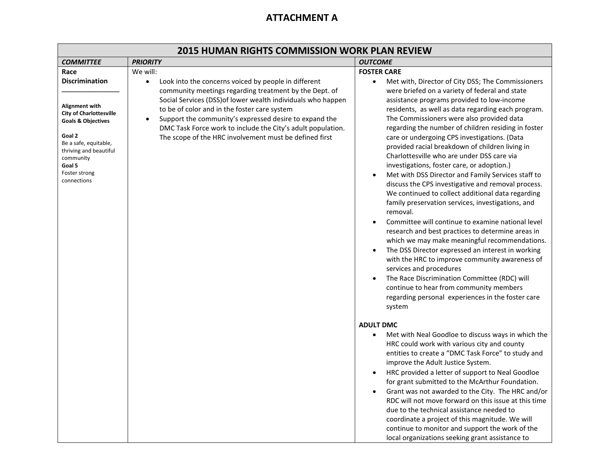## **ATTACHMENT A**

| <b>2015 HUMAN RIGHTS COMMISSION WORK PLAN REVIEW</b>                                                                                                                                                                                   |                                                                                                                                                                                                                                                                                                                                                                                                                                                         |                                                                                                                                                                                                                                                                                                                                                                                                                                                                                                                                                                                                                                                                                                                                                                                                                                                                                                                                                                                                                                                                                                                                                                                                                                                                  |  |  |
|----------------------------------------------------------------------------------------------------------------------------------------------------------------------------------------------------------------------------------------|---------------------------------------------------------------------------------------------------------------------------------------------------------------------------------------------------------------------------------------------------------------------------------------------------------------------------------------------------------------------------------------------------------------------------------------------------------|------------------------------------------------------------------------------------------------------------------------------------------------------------------------------------------------------------------------------------------------------------------------------------------------------------------------------------------------------------------------------------------------------------------------------------------------------------------------------------------------------------------------------------------------------------------------------------------------------------------------------------------------------------------------------------------------------------------------------------------------------------------------------------------------------------------------------------------------------------------------------------------------------------------------------------------------------------------------------------------------------------------------------------------------------------------------------------------------------------------------------------------------------------------------------------------------------------------------------------------------------------------|--|--|
| <b>COMMITTEE</b>                                                                                                                                                                                                                       | <b>PRIORITY</b>                                                                                                                                                                                                                                                                                                                                                                                                                                         | <b>OUTCOME</b>                                                                                                                                                                                                                                                                                                                                                                                                                                                                                                                                                                                                                                                                                                                                                                                                                                                                                                                                                                                                                                                                                                                                                                                                                                                   |  |  |
| Race<br><b>Discrimination</b><br>Alignment with<br><b>City of Charlottesville</b><br><b>Goals &amp; Objectives</b><br>Goal 2<br>Be a safe, equitable,<br>thriving and beautiful<br>community<br>Goal 5<br>Foster strong<br>connections | We will:<br>Look into the concerns voiced by people in different<br>$\bullet$<br>community meetings regarding treatment by the Dept. of<br>Social Services (DSS) of lower wealth individuals who happen<br>to be of color and in the foster care system<br>Support the community's expressed desire to expand the<br>$\bullet$<br>DMC Task Force work to include the City's adult population.<br>The scope of the HRC involvement must be defined first | <b>FOSTER CARE</b><br>Met with, Director of City DSS; The Commissioners<br>$\bullet$<br>were briefed on a variety of federal and state<br>assistance programs provided to low-income<br>residents, as well as data regarding each program.<br>The Commissioners were also provided data<br>regarding the number of children residing in foster<br>care or undergoing CPS investigations. (Data<br>provided racial breakdown of children living in<br>Charlottesville who are under DSS care via<br>investigations, foster care, or adoption.)<br>Met with DSS Director and Family Services staff to<br>discuss the CPS investigative and removal process.<br>We continued to collect additional data regarding<br>family preservation services, investigations, and<br>removal.<br>Committee will continue to examine national level<br>$\bullet$<br>research and best practices to determine areas in<br>which we may make meaningful recommendations.<br>The DSS Director expressed an interest in working<br>$\bullet$<br>with the HRC to improve community awareness of<br>services and procedures<br>The Race Discrimination Committee (RDC) will<br>continue to hear from community members<br>regarding personal experiences in the foster care<br>system |  |  |
|                                                                                                                                                                                                                                        |                                                                                                                                                                                                                                                                                                                                                                                                                                                         | <b>ADULT DMC</b><br>Met with Neal Goodloe to discuss ways in which the<br>HRC could work with various city and county<br>entities to create a "DMC Task Force" to study and<br>improve the Adult Justice System.<br>HRC provided a letter of support to Neal Goodloe<br>$\bullet$<br>for grant submitted to the McArthur Foundation.<br>Grant was not awarded to the City. The HRC and/or<br>RDC will not move forward on this issue at this time<br>due to the technical assistance needed to<br>coordinate a project of this magnitude. We will<br>continue to monitor and support the work of the<br>local organizations seeking grant assistance to                                                                                                                                                                                                                                                                                                                                                                                                                                                                                                                                                                                                          |  |  |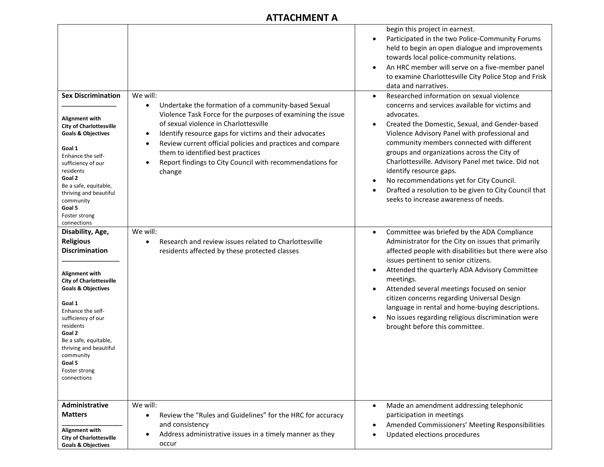## **ATTACHMENT A**

| <b>Sex Discrimination</b><br>Alignment with<br><b>City of Charlottesville</b><br><b>Goals &amp; Objectives</b><br>Goal 1<br>Enhance the self-<br>sufficiency of our<br>residents<br>Goal 2<br>Be a safe, equitable,<br>thriving and beautiful<br>community<br>Goal 5<br>Foster strong<br>connections                                     | We will:<br>Undertake the formation of a community-based Sexual<br>$\bullet$<br>Violence Task Force for the purposes of examining the issue<br>of sexual violence in Charlottesville<br>Identify resource gaps for victims and their advocates<br>$\bullet$<br>Review current official policies and practices and compare<br>$\bullet$<br>them to identified best practices<br>Report findings to City Council with recommendations for<br>$\bullet$<br>change | begin this project in earnest.<br>Participated in the two Police-Community Forums<br>$\bullet$<br>held to begin an open dialogue and improvements<br>towards local police-community relations.<br>An HRC member will serve on a five-member panel<br>to examine Charlottesville City Police Stop and Frisk<br>data and narratives.<br>Researched information on sexual violence<br>concerns and services available for victims and<br>advocates.<br>Created the Domestic, Sexual, and Gender-based<br>$\bullet$<br>Violence Advisory Panel with professional and<br>community members connected with different<br>groups and organizations across the City of<br>Charlottesville. Advisory Panel met twice. Did not<br>identify resource gaps.<br>No recommendations yet for City Council.<br>$\bullet$<br>Drafted a resolution to be given to City Council that<br>seeks to increase awareness of needs. |
|------------------------------------------------------------------------------------------------------------------------------------------------------------------------------------------------------------------------------------------------------------------------------------------------------------------------------------------|----------------------------------------------------------------------------------------------------------------------------------------------------------------------------------------------------------------------------------------------------------------------------------------------------------------------------------------------------------------------------------------------------------------------------------------------------------------|-----------------------------------------------------------------------------------------------------------------------------------------------------------------------------------------------------------------------------------------------------------------------------------------------------------------------------------------------------------------------------------------------------------------------------------------------------------------------------------------------------------------------------------------------------------------------------------------------------------------------------------------------------------------------------------------------------------------------------------------------------------------------------------------------------------------------------------------------------------------------------------------------------------|
| Disability, Age,<br><b>Religious</b><br><b>Discrimination</b><br>Alignment with<br><b>City of Charlottesville</b><br><b>Goals &amp; Objectives</b><br>Goal 1<br>Enhance the self-<br>sufficiency of our<br>residents<br>Goal 2<br>Be a safe, equitable,<br>thriving and beautiful<br>community<br>Goal 5<br>Foster strong<br>connections | We will:<br>Research and review issues related to Charlottesville<br>$\bullet$<br>residents affected by these protected classes                                                                                                                                                                                                                                                                                                                                | Committee was briefed by the ADA Compliance<br>$\bullet$<br>Administrator for the City on issues that primarily<br>affected people with disabilities but there were also<br>issues pertinent to senior citizens.<br>Attended the quarterly ADA Advisory Committee<br>meetings.<br>Attended several meetings focused on senior<br>$\bullet$<br>citizen concerns regarding Universal Design<br>language in rental and home-buying descriptions.<br>No issues regarding religious discrimination were<br>brought before this committee.                                                                                                                                                                                                                                                                                                                                                                      |
| Administrative<br><b>Matters</b><br>Alignment with<br><b>City of Charlottesville</b><br><b>Goals &amp; Objectives</b>                                                                                                                                                                                                                    | We will:<br>Review the "Rules and Guidelines" for the HRC for accuracy<br>$\bullet$<br>and consistency<br>Address administrative issues in a timely manner as they<br>$\bullet$<br>occur                                                                                                                                                                                                                                                                       | Made an amendment addressing telephonic<br>participation in meetings<br>Amended Commissioners' Meeting Responsibilities<br>Updated elections procedures                                                                                                                                                                                                                                                                                                                                                                                                                                                                                                                                                                                                                                                                                                                                                   |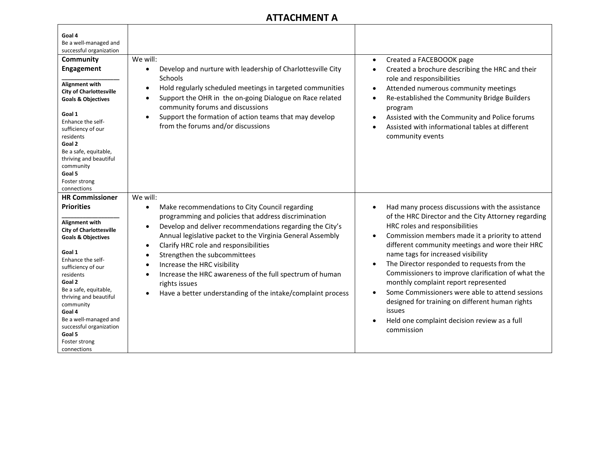## **ATTACHMENT A**

| Goal 4<br>Be a well-managed and<br>successful organization                                                                                                                                                                                                                                                                                                        |                                                                                                                                                                                                                                                                                                                                                                                                                                                                                                                                                                                 |                                                                                                                                                                                                                                                                                                                                                                                                                                                                                                                                                                                                                                            |
|-------------------------------------------------------------------------------------------------------------------------------------------------------------------------------------------------------------------------------------------------------------------------------------------------------------------------------------------------------------------|---------------------------------------------------------------------------------------------------------------------------------------------------------------------------------------------------------------------------------------------------------------------------------------------------------------------------------------------------------------------------------------------------------------------------------------------------------------------------------------------------------------------------------------------------------------------------------|--------------------------------------------------------------------------------------------------------------------------------------------------------------------------------------------------------------------------------------------------------------------------------------------------------------------------------------------------------------------------------------------------------------------------------------------------------------------------------------------------------------------------------------------------------------------------------------------------------------------------------------------|
| Community<br><b>Engagement</b>                                                                                                                                                                                                                                                                                                                                    | We will:<br>Develop and nurture with leadership of Charlottesville City<br>$\bullet$                                                                                                                                                                                                                                                                                                                                                                                                                                                                                            | Created a FACEBOOOK page<br>Created a brochure describing the HRC and their                                                                                                                                                                                                                                                                                                                                                                                                                                                                                                                                                                |
| <b>Alignment with</b><br><b>City of Charlottesville</b><br><b>Goals &amp; Objectives</b><br>Goal 1<br>Enhance the self-<br>sufficiency of our<br>residents<br>Goal 2<br>Be a safe, equitable,<br>thriving and beautiful<br>community<br>Goal 5<br>Foster strong<br>connections                                                                                    | Schools<br>Hold regularly scheduled meetings in targeted communities<br>$\bullet$<br>Support the OHR in the on-going Dialogue on Race related<br>$\bullet$<br>community forums and discussions<br>Support the formation of action teams that may develop<br>$\bullet$<br>from the forums and/or discussions                                                                                                                                                                                                                                                                     | role and responsibilities<br>Attended numerous community meetings<br>$\bullet$<br>Re-established the Community Bridge Builders<br>$\bullet$<br>program<br>Assisted with the Community and Police forums<br>$\bullet$<br>Assisted with informational tables at different<br>community events                                                                                                                                                                                                                                                                                                                                                |
| <b>HR Commissioner</b>                                                                                                                                                                                                                                                                                                                                            | We will:                                                                                                                                                                                                                                                                                                                                                                                                                                                                                                                                                                        |                                                                                                                                                                                                                                                                                                                                                                                                                                                                                                                                                                                                                                            |
| <b>Priorities</b><br><b>Alignment with</b><br><b>City of Charlottesville</b><br><b>Goals &amp; Objectives</b><br>Goal 1<br>Enhance the self-<br>sufficiency of our<br>residents<br>Goal 2<br>Be a safe, equitable,<br>thriving and beautiful<br>community<br>Goal 4<br>Be a well-managed and<br>successful organization<br>Goal 5<br>Foster strong<br>connections | Make recommendations to City Council regarding<br>$\bullet$<br>programming and policies that address discrimination<br>Develop and deliver recommendations regarding the City's<br>$\bullet$<br>Annual legislative packet to the Virginia General Assembly<br>Clarify HRC role and responsibilities<br>$\bullet$<br>Strengthen the subcommittees<br>$\bullet$<br>Increase the HRC visibility<br>$\bullet$<br>Increase the HRC awareness of the full spectrum of human<br>$\bullet$<br>rights issues<br>Have a better understanding of the intake/complaint process<br>$\bullet$ | Had many process discussions with the assistance<br>$\bullet$<br>of the HRC Director and the City Attorney regarding<br>HRC roles and responsibilities<br>Commission members made it a priority to attend<br>different community meetings and wore their HRC<br>name tags for increased visibility<br>The Director responded to requests from the<br>$\bullet$<br>Commissioners to improve clarification of what the<br>monthly complaint report represented<br>Some Commissioners were able to attend sessions<br>designed for training on different human rights<br>issues<br>Held one complaint decision review as a full<br>commission |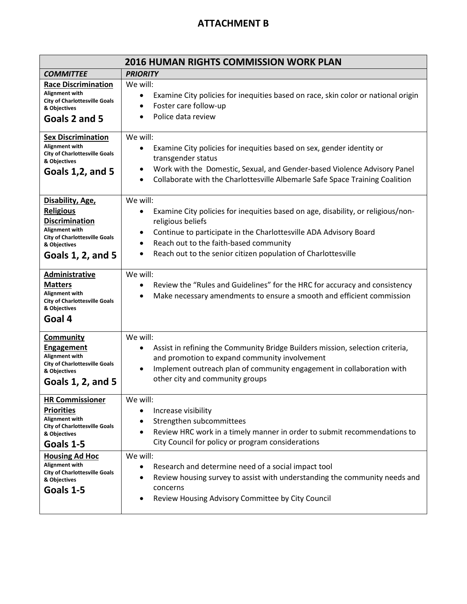## **ATTACHMENT B**

| <b>2016 HUMAN RIGHTS COMMISSION WORK PLAN</b>                                                                                                                       |                                                                                                                                                                                                                                                                                                                                  |  |
|---------------------------------------------------------------------------------------------------------------------------------------------------------------------|----------------------------------------------------------------------------------------------------------------------------------------------------------------------------------------------------------------------------------------------------------------------------------------------------------------------------------|--|
| <b>PRIORITY</b><br><b>COMMITTEE</b>                                                                                                                                 |                                                                                                                                                                                                                                                                                                                                  |  |
| <b>Race Discrimination</b><br>Alignment with<br><b>City of Charlottesville Goals</b><br>& Objectives<br>Goals 2 and 5                                               | We will:<br>Examine City policies for inequities based on race, skin color or national origin<br>$\bullet$<br>Foster care follow-up<br>$\bullet$<br>Police data review<br>$\bullet$                                                                                                                                              |  |
| <b>Sex Discrimination</b><br>Alignment with<br><b>City of Charlottesville Goals</b><br>& Objectives<br>Goals 1,2, and 5                                             | We will:<br>Examine City policies for inequities based on sex, gender identity or<br>$\bullet$<br>transgender status<br>Work with the Domestic, Sexual, and Gender-based Violence Advisory Panel<br>٠<br>Collaborate with the Charlottesville Albemarle Safe Space Training Coalition<br>$\bullet$                               |  |
| Disability, Age,<br><b>Religious</b><br><b>Discrimination</b><br>Alignment with<br><b>City of Charlottesville Goals</b><br>& Objectives<br><b>Goals 1, 2, and 5</b> | We will:<br>Examine City policies for inequities based on age, disability, or religious/non-<br>religious beliefs<br>Continue to participate in the Charlottesville ADA Advisory Board<br>٠<br>Reach out to the faith-based community<br>$\bullet$<br>Reach out to the senior citizen population of Charlottesville<br>$\bullet$ |  |
| <b>Administrative</b><br><b>Matters</b><br>Alignment with<br><b>City of Charlottesville Goals</b><br>& Objectives<br>Goal 4                                         | We will:<br>Review the "Rules and Guidelines" for the HRC for accuracy and consistency<br>٠<br>Make necessary amendments to ensure a smooth and efficient commission<br>$\bullet$                                                                                                                                                |  |
| <b>Community</b><br><b>Engagement</b><br>Alignment with<br><b>City of Charlottesville Goals</b><br>& Objectives<br>Goals 1, 2, and 5                                | We will:<br>Assist in refining the Community Bridge Builders mission, selection criteria,<br>and promotion to expand community involvement<br>Implement outreach plan of community engagement in collaboration with<br>$\bullet$<br>other city and community groups                                                              |  |
| <b>HR Commissioner</b><br><b>Priorities</b><br>Alignment with<br><b>City of Charlottesville Goals</b><br>& Objectives<br>Goals 1-5                                  | We will:<br>Increase visibility<br>Strengthen subcommittees<br>Review HRC work in a timely manner in order to submit recommendations to<br>$\bullet$<br>City Council for policy or program considerations                                                                                                                        |  |
| <b>Housing Ad Hoc</b><br>Alignment with<br><b>City of Charlottesville Goals</b><br>& Objectives<br>Goals 1-5                                                        | We will:<br>Research and determine need of a social impact tool<br>$\bullet$<br>Review housing survey to assist with understanding the community needs and<br>concerns<br>Review Housing Advisory Committee by City Council                                                                                                      |  |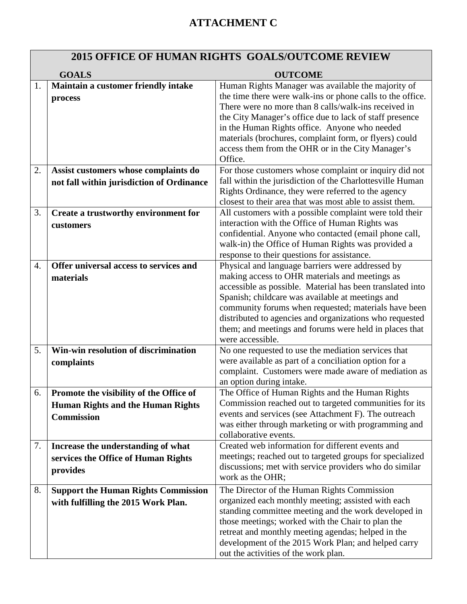# **ATTACHMENT C**

# **2015 OFFICE OF HUMAN RIGHTS GOALS/OUTCOME REVIEW**

|                  | <b>GOALS</b>                               | <b>OUTCOME</b>                                                                                                     |
|------------------|--------------------------------------------|--------------------------------------------------------------------------------------------------------------------|
| 1.               | Maintain a customer friendly intake        | Human Rights Manager was available the majority of                                                                 |
|                  | process                                    | the time there were walk-ins or phone calls to the office.                                                         |
|                  |                                            | There were no more than 8 calls/walk-ins received in                                                               |
|                  |                                            | the City Manager's office due to lack of staff presence                                                            |
|                  |                                            | in the Human Rights office. Anyone who needed                                                                      |
|                  |                                            | materials (brochures, complaint form, or flyers) could                                                             |
|                  |                                            | access them from the OHR or in the City Manager's<br>Office.                                                       |
| 2.               | Assist customers whose complaints do       | For those customers whose complaint or inquiry did not                                                             |
|                  |                                            | fall within the jurisdiction of the Charlottesville Human                                                          |
|                  | not fall within jurisdiction of Ordinance  | Rights Ordinance, they were referred to the agency                                                                 |
|                  |                                            | closest to their area that was most able to assist them.                                                           |
| 3.               | Create a trustworthy environment for       | All customers with a possible complaint were told their                                                            |
|                  | customers                                  | interaction with the Office of Human Rights was                                                                    |
|                  |                                            | confidential. Anyone who contacted (email phone call,                                                              |
|                  |                                            | walk-in) the Office of Human Rights was provided a                                                                 |
|                  |                                            | response to their questions for assistance.                                                                        |
| $\overline{4}$ . | Offer universal access to services and     | Physical and language barriers were addressed by                                                                   |
|                  | materials                                  | making access to OHR materials and meetings as                                                                     |
|                  |                                            | accessible as possible. Material has been translated into                                                          |
|                  |                                            | Spanish; childcare was available at meetings and                                                                   |
|                  |                                            | community forums when requested; materials have been                                                               |
|                  |                                            | distributed to agencies and organizations who requested                                                            |
|                  |                                            | them; and meetings and forums were held in places that<br>were accessible.                                         |
| 5.               | Win-win resolution of discrimination       | No one requested to use the mediation services that                                                                |
|                  | complaints                                 | were available as part of a conciliation option for a                                                              |
|                  |                                            | complaint. Customers were made aware of mediation as                                                               |
|                  |                                            | an option during intake.                                                                                           |
| 6.               | Promote the visibility of the Office of    | The Office of Human Rights and the Human Rights                                                                    |
|                  | <b>Human Rights and the Human Rights</b>   | Commission reached out to targeted communities for its                                                             |
|                  | <b>Commission</b>                          | events and services (see Attachment F). The outreach                                                               |
|                  |                                            | was either through marketing or with programming and                                                               |
|                  |                                            | collaborative events.                                                                                              |
| 7.               | Increase the understanding of what         | Created web information for different events and                                                                   |
|                  | services the Office of Human Rights        | meetings; reached out to targeted groups for specialized<br>discussions; met with service providers who do similar |
|                  | provides                                   | work as the OHR;                                                                                                   |
| 8.               | <b>Support the Human Rights Commission</b> | The Director of the Human Rights Commission                                                                        |
|                  | with fulfilling the 2015 Work Plan.        | organized each monthly meeting; assisted with each                                                                 |
|                  |                                            | standing committee meeting and the work developed in                                                               |
|                  |                                            | those meetings; worked with the Chair to plan the                                                                  |
|                  |                                            | retreat and monthly meeting agendas; helped in the                                                                 |
|                  |                                            | development of the 2015 Work Plan; and helped carry                                                                |
|                  |                                            | out the activities of the work plan.                                                                               |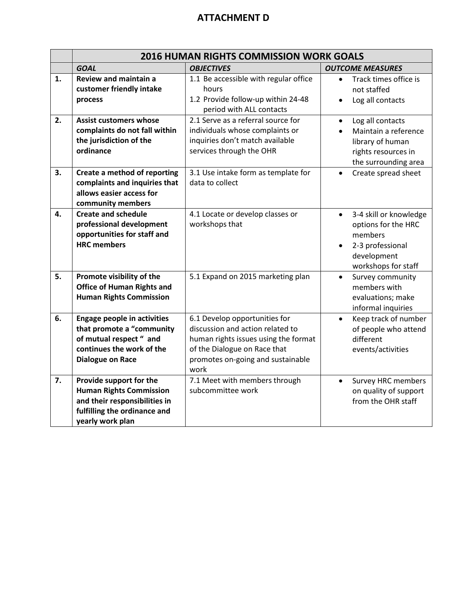## **ATTACHMENT D**

|    | <b>2016 HUMAN RIGHTS COMMISSION WORK GOALS</b>                                                                                                     |                                                                                                                                                                                        |                                                                                                                                 |
|----|----------------------------------------------------------------------------------------------------------------------------------------------------|----------------------------------------------------------------------------------------------------------------------------------------------------------------------------------------|---------------------------------------------------------------------------------------------------------------------------------|
|    | <b>GOAL</b>                                                                                                                                        | <b>OBJECTIVES</b>                                                                                                                                                                      | <b>OUTCOME MEASURES</b>                                                                                                         |
| 1. | Review and maintain a<br>customer friendly intake<br>process                                                                                       | 1.1 Be accessible with regular office<br>hours<br>1.2 Provide follow-up within 24-48<br>period with ALL contacts                                                                       | Track times office is<br>not staffed<br>Log all contacts                                                                        |
| 2. | <b>Assist customers whose</b><br>complaints do not fall within<br>the jurisdiction of the<br>ordinance                                             | 2.1 Serve as a referral source for<br>individuals whose complaints or<br>inquiries don't match available<br>services through the OHR                                                   | Log all contacts<br>Maintain a reference<br>library of human<br>rights resources in<br>the surrounding area                     |
| 3. | Create a method of reporting<br>complaints and inquiries that<br>allows easier access for<br>community members                                     | 3.1 Use intake form as template for<br>data to collect                                                                                                                                 | Create spread sheet<br>$\bullet$                                                                                                |
| 4. | <b>Create and schedule</b><br>professional development<br>opportunities for staff and<br><b>HRC</b> members                                        | 4.1 Locate or develop classes or<br>workshops that                                                                                                                                     | 3-4 skill or knowledge<br>$\bullet$<br>options for the HRC<br>members<br>2-3 professional<br>development<br>workshops for staff |
| 5. | Promote visibility of the<br><b>Office of Human Rights and</b><br><b>Human Rights Commission</b>                                                   | 5.1 Expand on 2015 marketing plan                                                                                                                                                      | Survey community<br>$\bullet$<br>members with<br>evaluations; make<br>informal inquiries                                        |
| 6. | <b>Engage people in activities</b><br>that promote a "community<br>of mutual respect " and<br>continues the work of the<br><b>Dialogue on Race</b> | 6.1 Develop opportunities for<br>discussion and action related to<br>human rights issues using the format<br>of the Dialogue on Race that<br>promotes on-going and sustainable<br>work | Keep track of number<br>$\bullet$<br>of people who attend<br>different<br>events/activities                                     |
| 7. | Provide support for the<br><b>Human Rights Commission</b><br>and their responsibilities in<br>fulfilling the ordinance and<br>yearly work plan     | 7.1 Meet with members through<br>subcommittee work                                                                                                                                     | <b>Survey HRC members</b><br>$\bullet$<br>on quality of support<br>from the OHR staff                                           |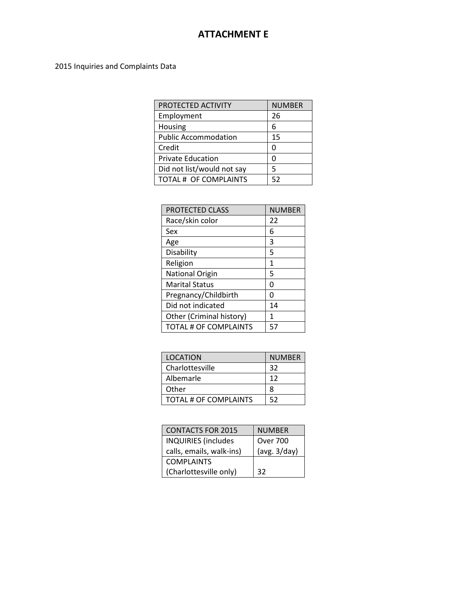## **ATTACHMENT E**

#### 2015 Inquiries and Complaints Data

| PROTECTED ACTIVITY          | <b>NUMBER</b> |
|-----------------------------|---------------|
| Employment                  | 26            |
| Housing                     | 6             |
| <b>Public Accommodation</b> | 15            |
| Credit                      |               |
| <b>Private Education</b>    |               |
| Did not list/would not say  | 5             |
| TOTAL # OF COMPLAINTS       | 52            |

| <b>PROTECTED CLASS</b>       | <b>NUMBER</b> |
|------------------------------|---------------|
| Race/skin color              | 22            |
| Sex                          | 6             |
| Age                          | 3             |
| Disability                   | 5             |
| Religion                     | 1             |
| <b>National Origin</b>       | 5             |
| <b>Marital Status</b>        | Ω             |
| Pregnancy/Childbirth         | Ω             |
| Did not indicated            | 14            |
| Other (Criminal history)     | 1             |
| <b>TOTAL # OF COMPLAINTS</b> | 57            |

| <b>LOCATION</b>       | <b>NUMBER</b> |
|-----------------------|---------------|
| Charlottesville       | 32            |
| Albemarle             | 12            |
| Other                 | 8             |
| TOTAL # OF COMPLAINTS | 52            |
|                       |               |

| <b>CONTACTS FOR 2015</b>   | <b>NUMBER</b>   |
|----------------------------|-----------------|
| <b>INQUIRIES</b> (includes | <b>Over 700</b> |
| calls, emails, walk-ins)   | (avg. 3/day)    |
| <b>COMPLAINTS</b>          |                 |
| (Charlottesville only)     | 32              |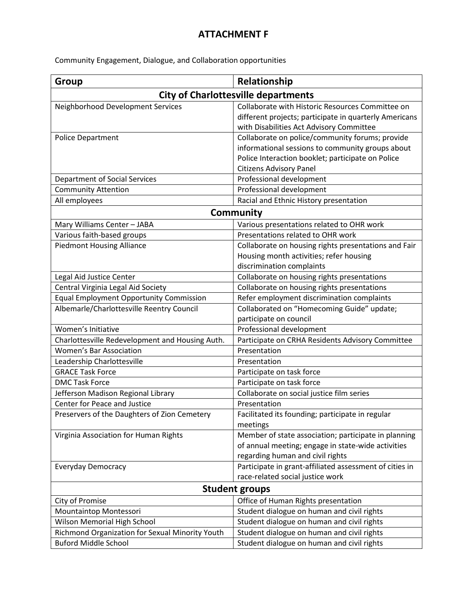## **ATTACHMENT F**

Community Engagement, Dialogue, and Collaboration opportunities

| Group                                           | Relationship                                                                                                                                                                               |  |
|-------------------------------------------------|--------------------------------------------------------------------------------------------------------------------------------------------------------------------------------------------|--|
| <b>City of Charlottesville departments</b>      |                                                                                                                                                                                            |  |
| Neighborhood Development Services               | Collaborate with Historic Resources Committee on<br>different projects; participate in quarterly Americans<br>with Disabilities Act Advisory Committee                                     |  |
| Police Department                               | Collaborate on police/community forums; provide<br>informational sessions to community groups about<br>Police Interaction booklet; participate on Police<br><b>Citizens Advisory Panel</b> |  |
| <b>Department of Social Services</b>            | Professional development                                                                                                                                                                   |  |
| <b>Community Attention</b>                      | Professional development                                                                                                                                                                   |  |
| All employees                                   | Racial and Ethnic History presentation                                                                                                                                                     |  |
| Community                                       |                                                                                                                                                                                            |  |
| Mary Williams Center - JABA                     | Various presentations related to OHR work                                                                                                                                                  |  |
| Various faith-based groups                      | Presentations related to OHR work                                                                                                                                                          |  |
| <b>Piedmont Housing Alliance</b>                | Collaborate on housing rights presentations and Fair<br>Housing month activities; refer housing<br>discrimination complaints                                                               |  |
| Legal Aid Justice Center                        | Collaborate on housing rights presentations                                                                                                                                                |  |
| Central Virginia Legal Aid Society              | Collaborate on housing rights presentations                                                                                                                                                |  |
| <b>Equal Employment Opportunity Commission</b>  | Refer employment discrimination complaints                                                                                                                                                 |  |
| Albemarle/Charlottesville Reentry Council       | Collaborated on "Homecoming Guide" update;<br>participate on council                                                                                                                       |  |
| Women's Initiative                              | Professional development                                                                                                                                                                   |  |
| Charlottesville Redevelopment and Housing Auth. | Participate on CRHA Residents Advisory Committee                                                                                                                                           |  |
| Women's Bar Association                         | Presentation                                                                                                                                                                               |  |
| Leadership Charlottesville                      | Presentation                                                                                                                                                                               |  |
| <b>GRACE Task Force</b>                         | Participate on task force                                                                                                                                                                  |  |
| <b>DMC Task Force</b>                           | Participate on task force                                                                                                                                                                  |  |
| Jefferson Madison Regional Library              | Collaborate on social justice film series                                                                                                                                                  |  |
| Center for Peace and Justice                    | Presentation                                                                                                                                                                               |  |
| Preservers of the Daughters of Zion Cemetery    | Facilitated its founding; participate in regular<br>meetings                                                                                                                               |  |
| Virginia Association for Human Rights           | Member of state association; participate in planning<br>of annual meeting; engage in state-wide activities<br>regarding human and civil rights                                             |  |
| <b>Everyday Democracy</b>                       | Participate in grant-affiliated assessment of cities in<br>race-related social justice work                                                                                                |  |
| <b>Student groups</b>                           |                                                                                                                                                                                            |  |
| City of Promise                                 | Office of Human Rights presentation                                                                                                                                                        |  |
| Mountaintop Montessori                          | Student dialogue on human and civil rights                                                                                                                                                 |  |
| Wilson Memorial High School                     | Student dialogue on human and civil rights                                                                                                                                                 |  |
| Richmond Organization for Sexual Minority Youth | Student dialogue on human and civil rights                                                                                                                                                 |  |
| <b>Buford Middle School</b>                     | Student dialogue on human and civil rights                                                                                                                                                 |  |